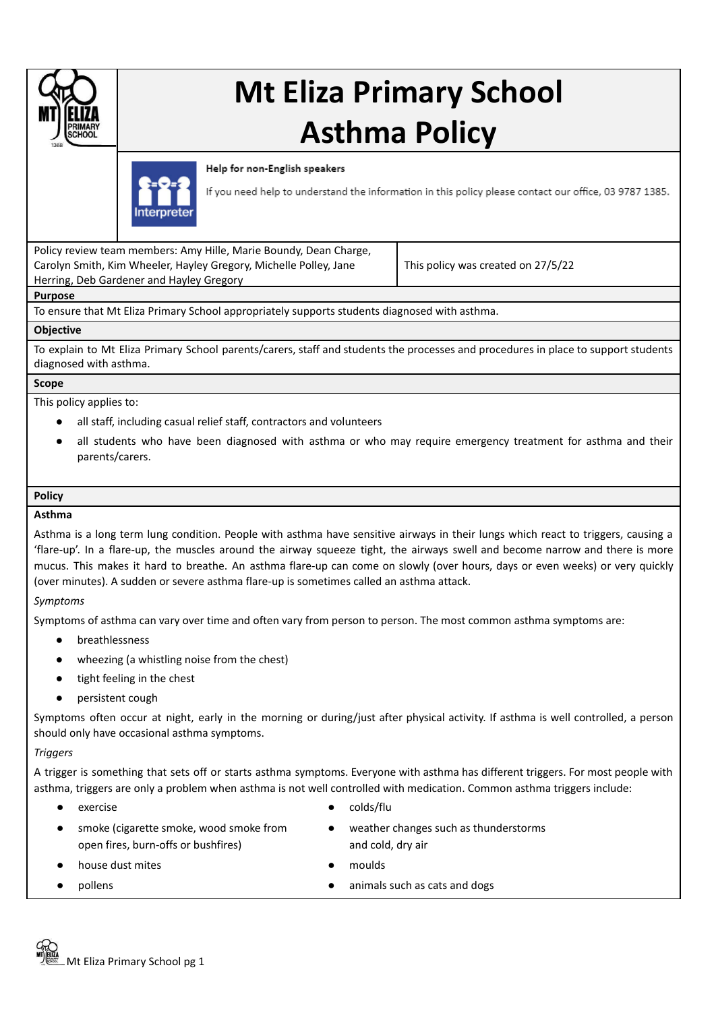

# **Mt Eliza Primary School Asthma Policy**

Help for non-English speakers



If you need help to understand the information in this policy please contact our office, 03 9787 1385.

Policy review team members: Amy Hille, Marie Boundy, Dean Charge, Carolyn Smith, Kim Wheeler, Hayley Gregory, Michelle Polley, Jane Herring, Deb Gardener and Hayley Gregory

This policy was created on 27/5/22

## **Purpose**

To ensure that Mt Eliza Primary School appropriately supports students diagnosed with asthma.

## **Objective**

To explain to Mt Eliza Primary School parents/carers, staff and students the processes and procedures in place to support students diagnosed with asthma.

## **Scope**

This policy applies to:

- all staff, including casual relief staff, contractors and volunteers
- all students who have been diagnosed with asthma or who may require emergency treatment for asthma and their parents/carers.

## **Policy**

## **Asthma**

Asthma is a long term lung condition. People with asthma have sensitive airways in their lungs which react to triggers, causing a 'flare-up'. In a flare-up, the muscles around the airway squeeze tight, the airways swell and become narrow and there is more mucus. This makes it hard to breathe. An asthma flare-up can come on slowly (over hours, days or even weeks) or very quickly (over minutes). A sudden or severe asthma flare-up is sometimes called an asthma attack.

## *Symptoms*

Symptoms of asthma can vary over time and often vary from person to person. The most common asthma symptoms are:

- breathlessness
- wheezing (a whistling noise from the chest)
- tight feeling in the chest
- persistent cough

Symptoms often occur at night, early in the morning or during/just after physical activity. If asthma is well controlled, a person should only have occasional asthma symptoms.

# *Triggers*

A trigger is something that sets off or starts asthma symptoms. Everyone with asthma has different triggers. For most people with asthma, triggers are only a problem when asthma is not well controlled with medication. Common asthma triggers include:

- 
- smoke (cigarette smoke, wood smoke from open fires, burn-offs or bushfires)
- exercise exercise **and the exercise** exercise
	- weather changes such as thunderstorms and cold, dry air
- house dust mites moulds
	-
	- pollens **be a** pollens animals such as cats and dogs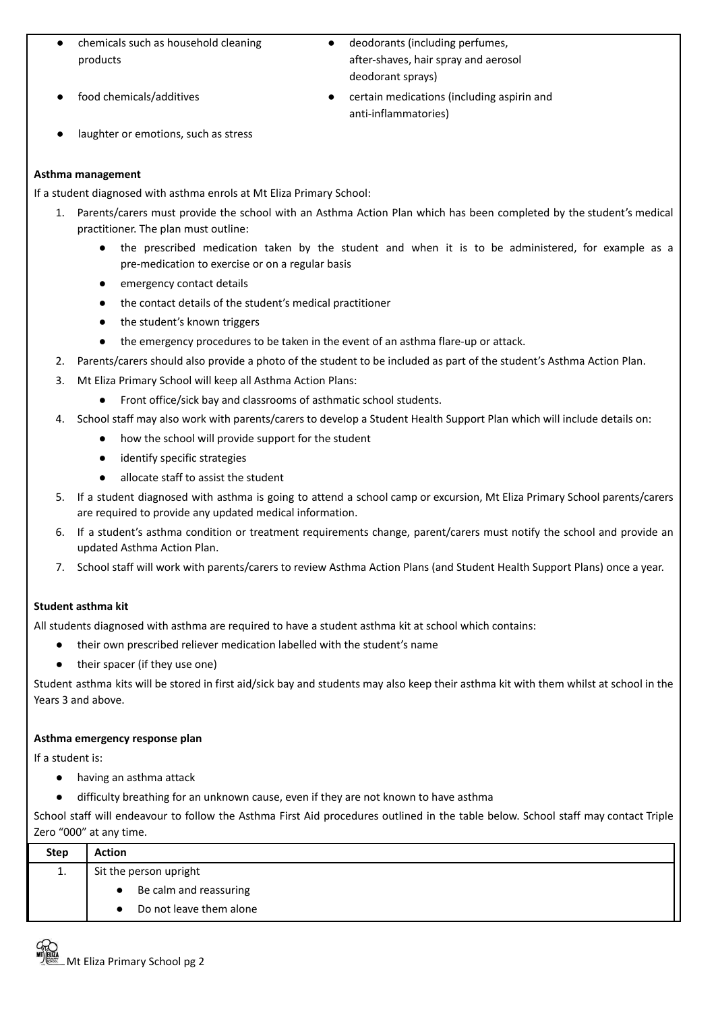- chemicals such as household cleaning products
- 
- deodorants (including perfumes, after-shaves, hair spray and aerosol deodorant sprays)
- food chemicals/additives **•** certain medications (including aspirin and anti-inflammatories)
- laughter or emotions, such as stress

# **Asthma management**

If a student diagnosed with asthma enrols at Mt Eliza Primary School:

- 1. Parents/carers must provide the school with an Asthma Action Plan which has been completed by the student's medical practitioner. The plan must outline:
	- the prescribed medication taken by the student and when it is to be administered, for example as a pre-medication to exercise or on a regular basis
	- emergency contact details
	- the contact details of the student's medical practitioner
	- the student's known triggers
	- the emergency procedures to be taken in the event of an asthma flare-up or attack.
- 2. Parents/carers should also provide a photo of the student to be included as part of the student's Asthma Action Plan.
- 3. Mt Eliza Primary School will keep all Asthma Action Plans:
	- Front office/sick bay and classrooms of asthmatic school students.
- 4. School staff may also work with parents/carers to develop a Student Health Support Plan which will include details on:
	- how the school will provide support for the student
	- identify specific strategies
	- allocate staff to assist the student
- 5. If a student diagnosed with asthma is going to attend a school camp or excursion, Mt Eliza Primary School parents/carers are required to provide any updated medical information.
- 6. If a student's asthma condition or treatment requirements change, parent/carers must notify the school and provide an updated Asthma Action Plan.
- 7. School staff will work with parents/carers to review Asthma Action Plans (and Student Health Support Plans) once a year.

# **Student asthma kit**

All students diagnosed with asthma are required to have a student asthma kit at school which contains:

- their own prescribed reliever medication labelled with the student's name
- their spacer (if they use one)

Student asthma kits will be stored in first aid/sick bay and students may also keep their asthma kit with them whilst at school in the Years 3 and above.

## **Asthma emergency response plan**

If a student is:

- having an asthma attack
- difficulty breathing for an unknown cause, even if they are not known to have asthma

School staff will endeavour to follow the Asthma First Aid procedures outlined in the table below. School staff may contact Triple Zero "000" at any time.

| <b>Step</b> | <b>Action</b>           |  |  |  |
|-------------|-------------------------|--|--|--|
| 1.          | Sit the person upright  |  |  |  |
|             | Be calm and reassuring  |  |  |  |
|             | Do not leave them alone |  |  |  |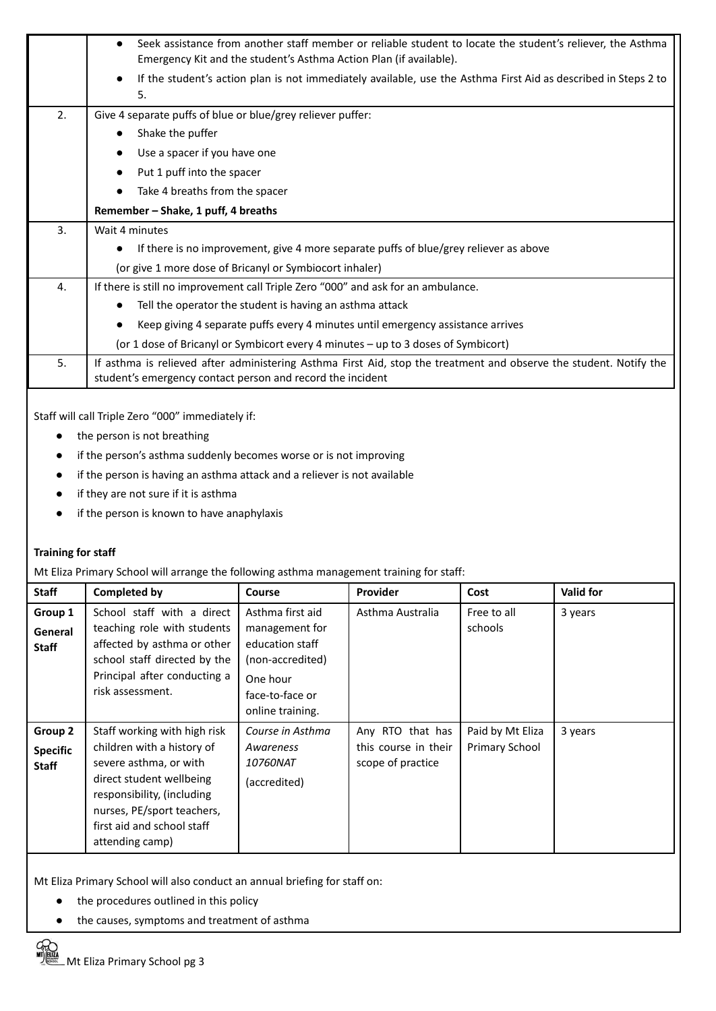|    | Seek assistance from another staff member or reliable student to locate the student's reliever, the Asthma<br>$\bullet$<br>Emergency Kit and the student's Asthma Action Plan (if available). |  |  |  |  |
|----|-----------------------------------------------------------------------------------------------------------------------------------------------------------------------------------------------|--|--|--|--|
|    |                                                                                                                                                                                               |  |  |  |  |
|    | If the student's action plan is not immediately available, use the Asthma First Aid as described in Steps 2 to<br>5.                                                                          |  |  |  |  |
| 2. | Give 4 separate puffs of blue or blue/grey reliever puffer:                                                                                                                                   |  |  |  |  |
|    |                                                                                                                                                                                               |  |  |  |  |
|    | Shake the puffer                                                                                                                                                                              |  |  |  |  |
|    | Use a spacer if you have one                                                                                                                                                                  |  |  |  |  |
|    | Put 1 puff into the spacer                                                                                                                                                                    |  |  |  |  |
|    | Take 4 breaths from the spacer                                                                                                                                                                |  |  |  |  |
|    | Remember - Shake, 1 puff, 4 breaths                                                                                                                                                           |  |  |  |  |
| 3. | Wait 4 minutes                                                                                                                                                                                |  |  |  |  |
|    | If there is no improvement, give 4 more separate puffs of blue/grey reliever as above                                                                                                         |  |  |  |  |
|    | (or give 1 more dose of Bricanyl or Symbiocort inhaler)                                                                                                                                       |  |  |  |  |
| 4. | If there is still no improvement call Triple Zero "000" and ask for an ambulance.                                                                                                             |  |  |  |  |
|    | Tell the operator the student is having an asthma attack                                                                                                                                      |  |  |  |  |
|    | Keep giving 4 separate puffs every 4 minutes until emergency assistance arrives                                                                                                               |  |  |  |  |
|    | (or 1 dose of Bricanyl or Symbicort every 4 minutes - up to 3 doses of Symbicort)                                                                                                             |  |  |  |  |
| 5. | If asthma is relieved after administering Asthma First Aid, stop the treatment and observe the student. Notify the<br>student's emergency contact person and record the incident              |  |  |  |  |

Staff will call Triple Zero "000" immediately if:

- the person is not breathing
- if the person's asthma suddenly becomes worse or is not improving
- if the person is having an asthma attack and a reliever is not available
- if they are not sure if it is asthma
- if the person is known to have anaphylaxis

## **Training for staff**

Mt Eliza Primary School will arrange the following asthma management training for staff:

| <b>Staff</b>                               | <b>Completed by</b>                                                                                                                                                                                                           | Course                                                                                                                       | <b>Provider</b>                                               | Cost                               | <b>Valid for</b> |
|--------------------------------------------|-------------------------------------------------------------------------------------------------------------------------------------------------------------------------------------------------------------------------------|------------------------------------------------------------------------------------------------------------------------------|---------------------------------------------------------------|------------------------------------|------------------|
| Group 1<br>General<br><b>Staff</b>         | School staff with a direct<br>teaching role with students<br>affected by asthma or other<br>school staff directed by the<br>Principal after conducting a<br>risk assessment.                                                  | Asthma first aid<br>management for<br>education staff<br>(non-accredited)<br>One hour<br>face-to-face or<br>online training. | Asthma Australia                                              | Free to all<br>schools             | 3 years          |
| Group 2<br><b>Specific</b><br><b>Staff</b> | Staff working with high risk<br>children with a history of<br>severe asthma, or with<br>direct student wellbeing<br>responsibility, (including<br>nurses, PE/sport teachers,<br>first aid and school staff<br>attending camp) | Course in Asthma<br>Awareness<br><i>10760NAT</i><br>(accredited)                                                             | Any RTO that has<br>this course in their<br>scope of practice | Paid by Mt Eliza<br>Primary School | 3 years          |

Mt Eliza Primary School will also conduct an annual briefing for staff on:

- the procedures outlined in this policy
- the causes, symptoms and treatment of asthma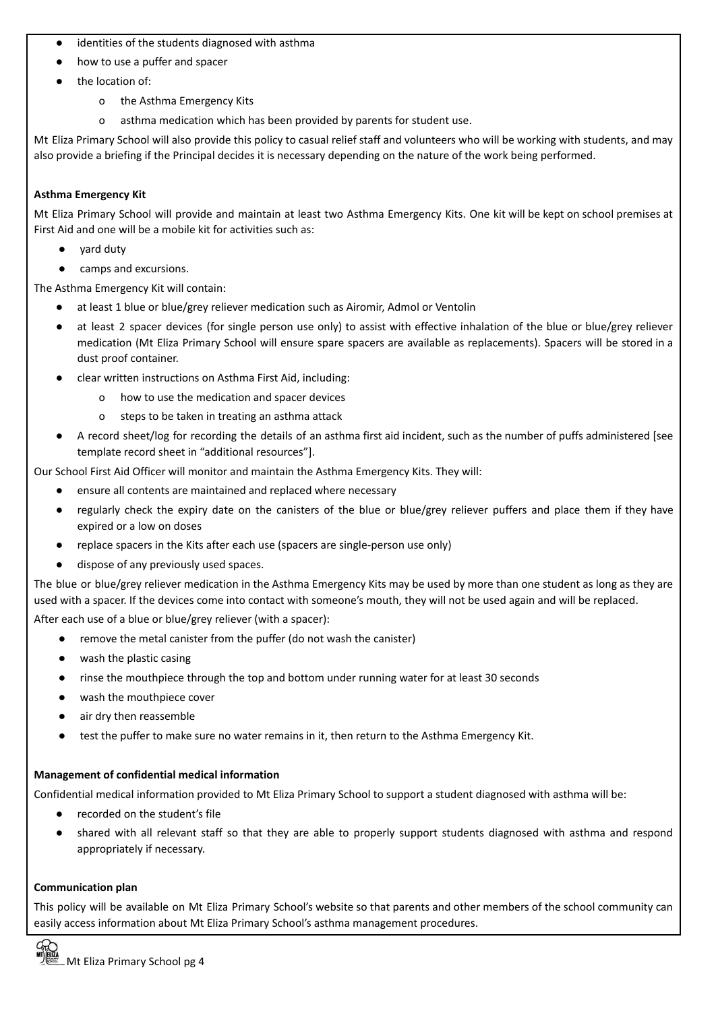- identities of the students diagnosed with asthma
- how to use a puffer and spacer
- the location of:
	- o the Asthma Emergency Kits
	- o asthma medication which has been provided by parents for student use.

Mt Eliza Primary School will also provide this policy to casual relief staff and volunteers who will be working with students, and may also provide a briefing if the Principal decides it is necessary depending on the nature of the work being performed.

## **Asthma Emergency Kit**

Mt Eliza Primary School will provide and maintain at least two Asthma Emergency Kits. One kit will be kept on school premises at First Aid and one will be a mobile kit for activities such as:

- vard duty
- camps and excursions.

The Asthma Emergency Kit will contain:

- at least 1 blue or blue/grey reliever medication such as Airomir, Admol or Ventolin
- at least 2 spacer devices (for single person use only) to assist with effective inhalation of the blue or blue/grey reliever medication (Mt Eliza Primary School will ensure spare spacers are available as replacements). Spacers will be stored in a dust proof container.
- clear written instructions on Asthma First Aid, including:
	- o how to use the medication and spacer devices
	- o steps to be taken in treating an asthma attack
- A record sheet/log for recording the details of an asthma first aid incident, such as the number of puffs administered [see template record sheet in "additional resources"].

Our School First Aid Officer will monitor and maintain the Asthma Emergency Kits. They will:

- ensure all contents are maintained and replaced where necessary
- regularly check the expiry date on the canisters of the blue or blue/grey reliever puffers and place them if they have expired or a low on doses
- replace spacers in the Kits after each use (spacers are single-person use only)
- dispose of any previously used spaces.

The blue or blue/grey reliever medication in the Asthma Emergency Kits may be used by more than one student as long as they are used with a spacer. If the devices come into contact with someone's mouth, they will not be used again and will be replaced. After each use of a blue or blue/grey reliever (with a spacer):

- remove the metal canister from the puffer (do not wash the canister)
- wash the plastic casing
- rinse the mouthpiece through the top and bottom under running water for at least 30 seconds
- wash the mouthpiece cover
- air dry then reassemble
- test the puffer to make sure no water remains in it, then return to the Asthma Emergency Kit.

## **Management of confidential medical information**

Confidential medical information provided to Mt Eliza Primary School to support a student diagnosed with asthma will be:

- recorded on the student's file
- shared with all relevant staff so that they are able to properly support students diagnosed with asthma and respond appropriately if necessary.

## **Communication plan**

This policy will be available on Mt Eliza Primary School's website so that parents and other members of the school community can easily access information about Mt Eliza Primary School's asthma management procedures.